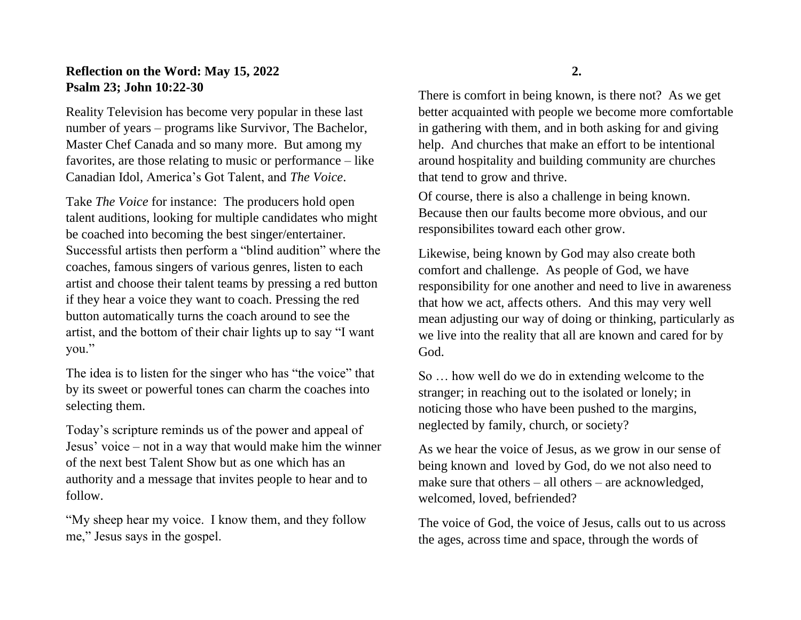## **Reflection on the Word: May 15, 2022 Psalm 23; John 10:22-30**

Reality Television has become very popular in these last number of years – programs like Survivor, The Bachelor, Master Chef Canada and so many more. But among my favorites, are those relating to music or performance – like Canadian Idol, America's Got Talent, and *The Voice*.

Take *The Voice* for instance: The producers hold open talent auditions, looking for multiple candidates who might be coached into becoming the best singer/entertainer. Successful artists then perform a "blind audition" where the coaches, famous singers of various genres, listen to each artist and choose their talent teams by pressing a red button if they hear a voice they want to coach. Pressing the red button automatically turns the coach around to see the artist, and the bottom of their chair lights up to say "I want you."

The idea is to listen for the singer who has "the voice" that by its sweet or powerful tones can charm the coaches into selecting them.

Today's scripture reminds us of the power and appeal of Jesus' voice – not in a way that would make him the winner of the next best Talent Show but as one which has an authority and a message that invites people to hear and to follow.

"My sheep hear my voice. I know them, and they follow me," Jesus says in the gospel.

There is comfort in being known, is there not? As we get better acquainted with people we become more comfortable in gathering with them, and in both asking for and giving help. And churches that make an effort to be intentional around hospitality and building community are churches that tend to grow and thrive.

Of course, there is also a challenge in being known. Because then our faults become more obvious, and our responsibilites toward each other grow.

Likewise, being known by God may also create both comfort and challenge. As people of God, we have responsibility for one another and need to live in awareness that how we act, affects others. And this may very well mean adjusting our way of doing or thinking, particularly as we live into the reality that all are known and cared for by God.

So … how well do we do in extending welcome to the stranger; in reaching out to the isolated or lonely; in noticing those who have been pushed to the margins, neglected by family, church, or society?

As we hear the voice of Jesus, as we grow in our sense of being known and loved by God, do we not also need to make sure that others – all others – are acknowledged, welcomed, loved, befriended?

The voice of God, the voice of Jesus, calls out to us across the ages, across time and space, through the words of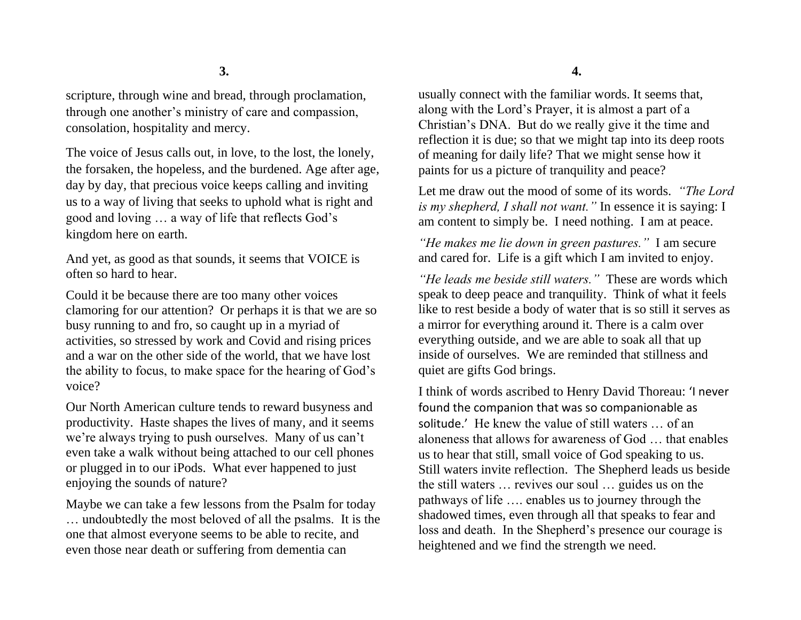scripture, through wine and bread, through proclamation, through one another's ministry of care and compassion, consolation, hospitality and mercy.

The voice of Jesus calls out, in love, to the lost, the lonely, the forsaken, the hopeless, and the burdened. Age after age, day by day, that precious voice keeps calling and inviting us to a way of living that seeks to uphold what is right and good and loving … a way of life that reflects God's kingdom here on earth.

And yet, as good as that sounds, it seems that VOICE is often so hard to hear.

Could it be because there are too many other voices clamoring for our attention? Or perhaps it is that we are so busy running to and fro, so caught up in a myriad of activities, so stressed by work and Covid and rising prices and a war on the other side of the world, that we have lost the ability to focus, to make space for the hearing of God's voice?

Our North American culture tends to reward busyness and productivity. Haste shapes the lives of many, and it seems we're always trying to push ourselves. Many of us can't even take a walk without being attached to our cell phones or plugged in to our iPods. What ever happened to just enjoying the sounds of nature?

Maybe we can take a few lessons from the Psalm for today … undoubtedly the most beloved of all the psalms. It is the one that almost everyone seems to be able to recite, and even those near death or suffering from dementia can

usually connect with the familiar words. It seems that, along with the Lord's Prayer, it is almost a part of a Christian's DNA. But do we really give it the time and reflection it is due; so that we might tap into its deep roots of meaning for daily life? That we might sense how it paints for us a picture of tranquility and peace?

Let me draw out the mood of some of its words. *"The Lord is my shepherd, I shall not want."* In essence it is saying: I am content to simply be. I need nothing. I am at peace.

*"He makes me lie down in green pastures."* I am secure and cared for. Life is a gift which I am invited to enjoy.

*"He leads me beside still waters."* These are words which speak to deep peace and tranquility. Think of what it feels like to rest beside a body of water that is so still it serves as a mirror for everything around it. There is a calm over everything outside, and we are able to soak all that up inside of ourselves. We are reminded that stillness and quiet are gifts God brings.

I think of words ascribed to Henry David Thoreau: 'I never found the companion that was so companionable as solitude.' He knew the value of still waters … of an aloneness that allows for awareness of God … that enables us to hear that still, small voice of God speaking to us. Still waters invite reflection. The Shepherd leads us beside the still waters … revives our soul … guides us on the pathways of life …. enables us to journey through the shadowed times, even through all that speaks to fear and loss and death. In the Shepherd's presence our courage is heightened and we find the strength we need.